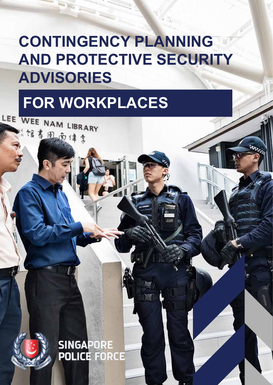# **CONTINGENCY PLANNING AND PROTECTIVE SECURITY ADVISORIES**

# FOR WORKPLACES

"馆养用药体多

**SINGAPORE POLICE FORCE**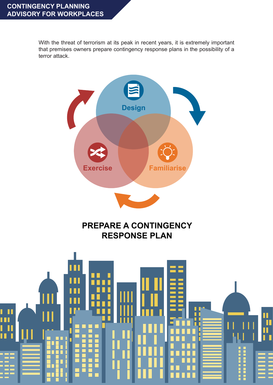With the threat of terrorism at its peak in recent years, it is extremely important that premises owners prepare contingency response plans in the possibility of a terror attack.





## **PREPARE A CONTINGENCY RESPONSE PLAN**

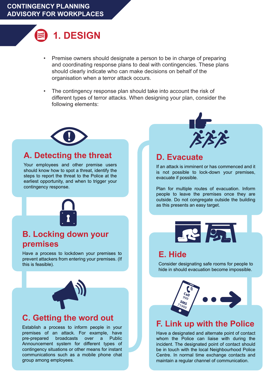## **1. DESIGN**

- Premise owners should designate a person to be in charge of preparing and coordinating response plans to deal with contingencies. These plans should clearly indicate who can make decisions on behalf of the organisation when a terror attack occurs. •
- The contingency response plan should take into account the risk of different types of terror attacks. When designing your plan, consider the following elements: •



### **A. Detecting the threat**

Your employees and other premise users should know how to spot a threat, identify the steps to report the threat to the Police at the earliest opportunity, and when to trigger your contingency response.



## **B. Locking down your premises**

Have a process to lockdown your premises to prevent attackers from entering your premises. (If this is feasible).



## **C. Getting the word out**

Establish a process to inform people in your premises of an attack. For example, have pre-prepared broadcasts over a Public Announcement system for different types of contingency situations or other means for instant communications such as a mobile phone chat group among employees.



#### **D. Evacuate**

If an attack is imminent or has commenced and it is not possible to lock-down your premises, evacuate if possible.

Plan for multiple routes of evacuation. Inform people to leave the premises once they are outside. Do not congregate outside the building as this presents an easy target.



#### **E. Hide**

Consider designating safe rooms for people to hide in should evacuation become impossible.



#### **F. Link up with the Police**

Have a designated and alternate point of contact whom the Police can liaise with during the incident. The designated point of contact should be in touch with the local Neighbourhood Police Centre. In normal time exchange contacts and maintain a regular channel of communication.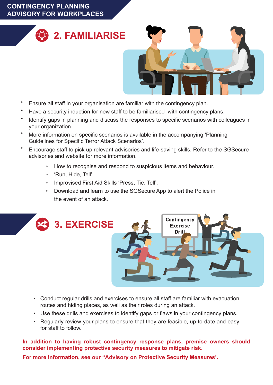#### **CONTINGENCY PLANNING ADVISORY FOR WORKPLACES**





- Ensure all staff in your organisation are familiar with the contingency plan. •
- Have a security induction for new staff to be familiarised with contingency plans. •
- Identify gaps in planning and discuss the responses to specific scenarios with colleagues in your organization. •
- More information on specific scenarios is available in the accompanying 'Planning Guidelines for Specific Terror Attack Scenarios'. •
- Encourage staff to pick up relevant advisories and life-saving skills. Refer to the SGSecure advisories and website for more information. •
	- How to recognise and respond to suspicious items and behaviour. ◦
	- 'Run, Hide, Tell'. ◦
	- Improvised First Aid Skills 'Press, Tie, Tell'. ◦
	- Download and learn to use the SGSecure App to alert the Police in the event of an attack. ◦



- Conduct regular drills and exercises to ensure all staff are familiar with evacuation routes and hiding places, as well as their roles during an attack.
- Use these drills and exercises to identify gaps or flaws in your contingency plans. •
- Regularly review your plans to ensure that they are feasible, up-to-date and easy for staff to follow.

**In addition to having robust contingency response plans, premise owners should consider implementing protective security measures to mitigate risk.**

**For more information, see our "Advisory on Protective Security Measures'.**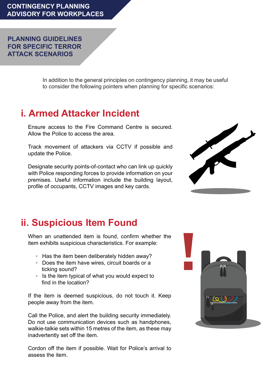**PLANNING GUIDELINES FOR SPECIFIC TERROR ATTACK SCENARIOS**

> In addition to the general principles on contingency planning, it may be useful to consider the following pointers when planning for specific scenarios:

## **i. Armed Attacker Incident**

Ensure access to the Fire Command Centre is secured. Allow the Police to access the area.

Track movement of attackers via CCTV if possible and update the Police.

Designate security points-of-contact who can link up quickly with Police responding forces to provide information on your premises. Useful information include the building layout, profile of occupants, CCTV images and key cards.



## **ii. Suspicious Item Found**

When an unattended item is found, confirm whether the item exhibits suspicious characteristics. For example:

- Has the item been deliberately hidden away?
- Does the item have wires, circuit boards or a ticking sound?
- Is the item typical of what you would expect to find in the location?

If the item is deemed suspicious, do not touch it. Keep people away from the item.

Call the Police, and alert the building security immediately. Do not use communication devices such as handphones, walkie-talkie sets within 15 metres of the item, as these may inadvertently set off the item.

Cordon off the item if possible. Wait for Police's arrival to assess the item.

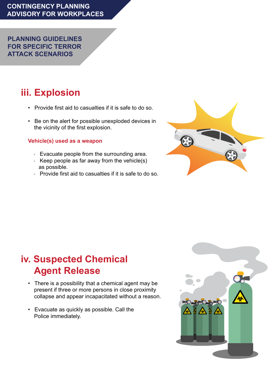**PLANNING GUIDELINES FOR SPECIFIC TERROR ATTACK SCENARIOS**

## **iii. Explosion**

- Provide first aid to casualties if it is safe to do so.
- Be on the alert for possible unexploded devices in the vicinity of the first explosion.

#### **Vehicle(s) used as a weapon**

- Evacuate people from the surrounding area.
- Keep people as far away from the vehicle(s) as possible.
- Provide first aid to casualties if it is safe to do so.



## **iv. Suspected Chemical Agent Release**

- There is a possibility that a chemical agent may be present if three or more persons in close proximity collapse and appear incapacitated without a reason.
- Evacuate as quickly as possible. Call the Police immediately.

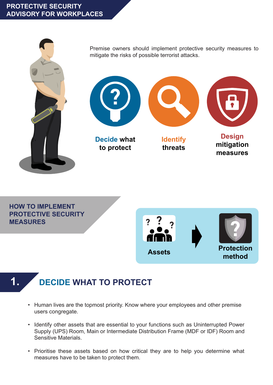#### **PROTECTIVE SECURITY ADVISORY FOR WORKPLACES**



Premise owners should implement protective security measures to mitigate the risks of possible terrorist attacks.



**to protect**

**Identify threats**



**measures**

**HOW TO IMPLEMENT PROTECTIVE SECURITY MEASURES**



## **1. DECIDE WHAT TO PROTECT**

- Human lives are the topmost priority. Know where your employees and other premise users congregate.
- Identify other assets that are essential to your functions such as Uninterrupted Power Supply (UPS) Room, Main or Intermediate Distribution Frame (MDF or IDF) Room and Sensitive Materials.
- Prioritise these assets based on how critical they are to help you determine what measures have to be taken to protect them.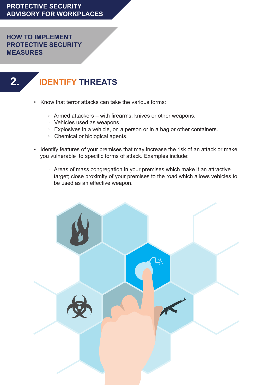**HOW TO IMPLEMENT PROTECTIVE SECURITY MEASURES**

## **2. IDENTIFY THREATS**

- Know that terror attacks can take the various forms:
	- Armed attackers with firearms, knives or other weapons.
	- Vehicles used as weapons.
	- Explosives in a vehicle, on a person or in a bag or other containers.
	- Chemical or biological agents.
- Identify features of your premises that may increase the risk of an attack or make you vulnerable to specific forms of attack. Examples include:
	- Areas of mass congregation in your premises which make it an attractive target; close proximity of your premises to the road which allows vehicles to be used as an effective weapon.

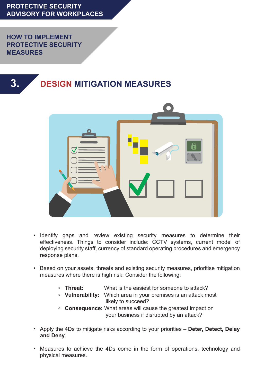**PROTECTIVE SECURITY ADVISORY FOR WORKPLACES**

**HOW TO IMPLEMENT PROTECTIVE SECURITY MEASURES**

**3.**





- Identify gaps and review existing security measures to determine their effectiveness. Things to consider include: CCTV systems, current model of deploying security staff, currency of standard operating procedures and emergency response plans.
- Based on your assets, threats and existing security measures, prioritise mitigation measures where there is high risk. Consider the following:
	- **◦ Threat:** What is the easiest for someone to attack?
	- **◦ Vulnerability:** Which area in your premises is an attack most likely to succeed?
	- **◦ Consequence:** What areas will cause the greatest impact on your business if disrupted by an attack?
- Apply the 4Ds to mitigate risks according to your priorities **Deter, Detect, Delay and Deny**.
- Measures to achieve the 4Ds come in the form of operations, technology and physical measures.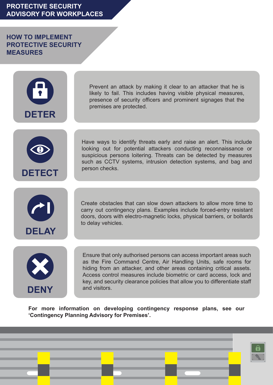#### **PROTECTIVE SECURITY ADVISORY FOR WORKPLACES**

**HOW TO IMPLEMENT PROTECTIVE SECURITY MEASURES**



Prevent an attack by making it clear to an attacker that he is likely to fail. This includes having visible physical measures, presence of security officers and prominent signages that the premises are protected.



Have ways to identify threats early and raise an alert. This include looking out for potential attackers conducting reconnaissance or suspicious persons loitering. Threats can be detected by measures such as CCTV systems, intrusion detection systems, and bag and person checks.



Create obstacles that can slow down attackers to allow more time to carry out contingency plans. Examples include forced-entry resistant doors, doors with electro-magnetic locks, physical barriers, or bollards to delay vehicles.



Ensure that only authorised persons can access important areas such as the Fire Command Centre, Air Handling Units, safe rooms for hiding from an attacker, and other areas containing critical assets. Access control measures include biometric or card access, lock and key, and security clearance policies that allow you to differentiate staff and visitors.

**For more information on developing contingency response plans, see our 'Contingency Planning Advisory for Premises'.** 

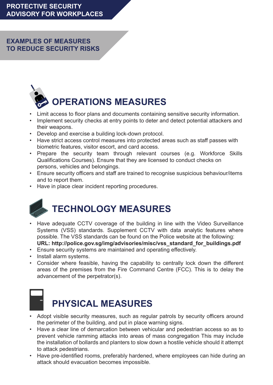#### **EXAMPLES OF MEASURES TO REDUCE SECURITY RISKS**



- Limit access to floor plans and documents containing sensitive security information.
- Implement security checks at entry points to deter and detect potential attackers and their weapons.
- Develop and exercise a building lock-down protocol.
- Have strict access control measures into protected areas such as staff passes with biometric features, visitor escort, and card access.
- Prepare the security team through relevant courses (e.g. Workforce Skills Qualifications Courses). Ensure that they are licensed to conduct checks on persons, vehicles and belongings.
- Ensure security officers and staff are trained to recognise suspicious behaviour/items and to report them.
- Have in place clear incident reporting procedures.



- Have adequate CCTV coverage of the building in line with the Video Surveillance Systems (VSS) standards. Supplement CCTV with data analytic features where possible. The VSS standards can be found on the Police website at the following: **URL: http://police.gov.sg/img/advisories/misc/vss\_standard\_for\_buildings.pdf**
- Ensure security systems are maintained and operating effectively.
- Install alarm systems.
- Consider where feasible, having the capability to centrally lock down the different areas of the premises from the Fire Command Centre (FCC). This is to delay the advancement of the perpetrator(s).



## **PHYSICAL MEASURES**

- Adopt visible security measures, such as regular patrols by security officers around the perimeter of the building, and put in place warning signs.
- Have a clear line of demarcation between vehicular and pedestrian access so as to prevent vehicle ramming attacks into areas of mass congregation This may include the installation of bollards and planters to slow down a hostile vehicle should it attempt to attack pedestrians.
- Have pre-identified rooms, preferably hardened, where employees can hide during an attack should evacuation becomes impossible.